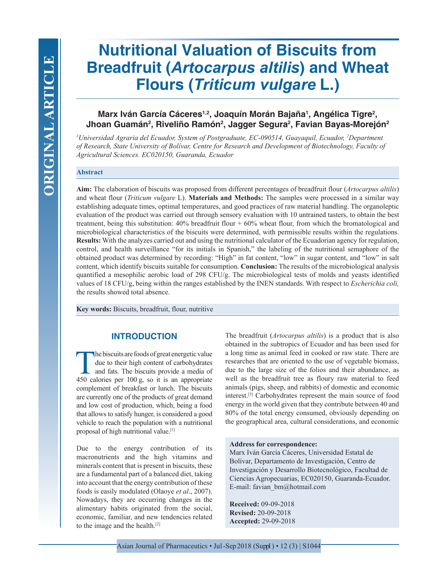# **Nutritional Valuation of Biscuits from Breadfruit (***Artocarpus altilis***) and Wheat Flours (***Triticum vulgare* **L.)**

# **Marx Iván García Cáceres1,2, Joaquín Morán Bajaña1 , Angélica Tigre2 ,**  Jhoan Guamán<sup>2</sup>, Riveliño Ramón<sup>2</sup>, Jagger Segura<sup>2</sup>, Favian Bayas-Morejón<sup>2</sup>

*1 Universidad Agraria del Ecuador, System of Postgraduate, EC-090514, Guayaquil, Ecuador, 2 Department of Research, State University of Bolívar, Centre for Research and Development of Biotechnology, Faculty of Agricultural Sciences. EC020150, Guaranda, Ecuador*

## **Abstract**

**Aim:** The elaboration of biscuits was proposed from different percentages of breadfruit flour (*Artocarpus altilis*) and wheat flour (*Triticum vulgare* L). **Materials and Methods:** The samples were processed in a similar way establishing adequate times, optimal temperatures, and good practices of raw material handling. The organoleptic evaluation of the product was carried out through sensory evaluation with 10 untrained tasters, to obtain the best treatment, being this substitution: 40% breadfruit flour + 60% wheat flour, from which the bromatological and microbiological characteristics of the biscuits were determined, with permissible results within the regulations. **Results:** With the analyzes carried out and using the nutritional calculator of the Ecuadorian agency for regulation, control, and health surveillance "for its initials in Spanish," the labeling of the nutritional semaphore of the obtained product was determined by recording: "High" in fat content, "low" in sugar content, and "low" in salt content, which identify biscuits suitable for consumption. **Conclusion:** The results of the microbiological analysis quantified a mesophilic aerobic load of 298 CFU/g. The microbiological tests of molds and yeasts identified values of 18 CFU/g, being within the ranges established by the INEN standards. With respect to *Escherichia coli,* the results showed total absence.

**Key words:** Biscuits, breadfruit, flour, nutritive

# **INTRODUCTION**

The biscuits are foods of great energetic value due to their high content of carbohydrates and fats. The biscuits provide a media of 450 calories per 100 g, so it is an appropriate complement of breakfast or lunch. The biscuits are currently one of the products of great demand and low cost of production, which, being a food that allows to satisfy hunger, is considered a good vehicle to reach the population with a nutritional proposal of high nutritional value.[1]

Due to the energy contribution of its macronutrients and the high vitamins and minerals content that is present in biscuits, these are a fundamental part of a balanced diet, taking into account that the energy contribution of these foods is easily modulated (Olaoye *et al*., 2007). Nowadays, they are occurring changes in the alimentary habits originated from the social, economic, familiar, and new tendencies related to the image and the health.[2]

The breadfruit (*Artocarpus altilis*) is a product that is also obtained in the subtropics of Ecuador and has been used for a long time as animal feed in cooked or raw state. There are researches that are oriented to the use of vegetable biomass, due to the large size of the folios and their abundance, as well as the breadfruit tree as floury raw material to feed animals (pigs, sheep, and rabbits) of domestic and economic interest.[3] Carbohydrates represent the main source of food energy in the world given that they contribute between 40 and 80% of the total energy consumed, obviously depending on the geographical area, cultural considerations, and economic

#### **Address for correspondence:**

Marx Iván García Cáceres, Universidad Estatal de Bolívar, Departamento de Investigación, Centro de Investigación y Desarrollo Biotecnológico, Facultad de Ciencias Agropecuarias, EC020150, Guaranda-Ecuador. E-mail: favian\_bm@hotmail.com

**Received:** 09-09-2018 **Revised:** 20-09-2018 **Accepted:** 29-09-2018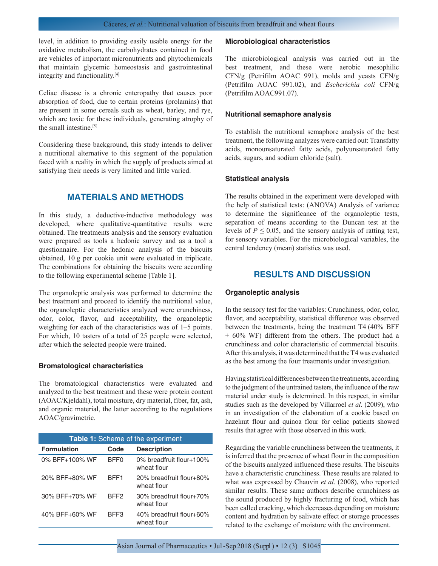level, in addition to providing easily usable energy for the oxidative metabolism, the carbohydrates contained in food are vehicles of important micronutrients and phytochemicals that maintain glycemic homeostasis and gastrointestinal integrity and functionality.[4]

Celiac disease is a chronic enteropathy that causes poor absorption of food, due to certain proteins (prolamins) that are present in some cereals such as wheat, barley, and rye, which are toxic for these individuals, generating atrophy of the small intestine<sup>[5]</sup>

Considering these background, this study intends to deliver a nutritional alternative to this segment of the population faced with a reality in which the supply of products aimed at satisfying their needs is very limited and little varied.

# **MATERIALS AND METHODS**

In this study, a deductive-inductive methodology was developed, where qualitative-quantitative results were obtained. The treatments analysis and the sensory evaluation were prepared as tools a hedonic survey and as a tool a questionnaire. For the hedonic analysis of the biscuits obtained, 10 g per cookie unit were evaluated in triplicate. The combinations for obtaining the biscuits were according to the following experimental scheme [Table 1].

The organoleptic analysis was performed to determine the best treatment and proceed to identify the nutritional value, the organoleptic characteristics analyzed were crunchiness, odor, color, flavor, and acceptability, the organoleptic weighting for each of the characteristics was of 1–5 points. For which, 10 tasters of a total of 25 people were selected, after which the selected people were trained.

#### **Bromatological characteristics**

The bromatological characteristics were evaluated and analyzed to the best treatment and these were protein content (AOAC/Kjeldahl), total moisture, dry material, fiber, fat, ash, and organic material, the latter according to the regulations AOAC/gravimetric.

| Table 1: Scheme of the experiment |                  |                                            |  |
|-----------------------------------|------------------|--------------------------------------------|--|
| <b>Formulation</b>                | Code             | <b>Description</b>                         |  |
| $0\%$ BFF $+100\%$ WF             | BFF <sub>0</sub> | $0\%$ breadfruit flour+100%<br>wheat flour |  |
| 20% BFF+80% WF                    | BFF1             | 20% breadfruit flour+80%<br>wheat flour    |  |
| 30% BFF+70% WF                    | RFF <sub>2</sub> | 30% breadfruit flour+70%<br>wheat flour    |  |
| $40\%$ BFF $+60\%$ WF             | BFF3             | 40% breadfruit flour+60%<br>wheat flour    |  |

#### **Microbiological characteristics**

The microbiological analysis was carried out in the best treatment, and these were aerobic mesophilic CFN/g (Petrifilm AOAC 991), molds and yeasts CFN/g (Petrifilm AOAC 991.02), and *Escherichia coli* CFN/g (Petrifilm AOAC991.07).

#### **Nutritional semaphore analysis**

To establish the nutritional semaphore analysis of the best treatment, the following analyzes were carried out: Transfatty acids, monounsaturated fatty acids, polyunsaturated fatty acids, sugars, and sodium chloride (salt).

#### **Statistical analysis**

The results obtained in the experiment were developed with the help of statistical tests: (ANOVA) Analysis of variance to determine the significance of the organoleptic tests, separation of means according to the Duncan test at the levels of  $P \le 0.05$ , and the sensory analysis of ratting test, for sensory variables. For the microbiological variables, the central tendency (mean) statistics was used.

# **RESULTS AND DISCUSSION**

#### **Organoleptic analysis**

In the sensory test for the variables: Crunchiness, odor, color, flavor, and acceptability, statistical difference was observed between the treatments, being the treatment T4 (40% BFF + 60% WF) different from the others. The product had a crunchiness and color characteristic of commercial biscuits. After this analysis, it was determined that the T4 was evaluated as the best among the four treatments under investigation.

Having statistical differences between the treatments, according to the judgment of the untrained tasters, the influence of the raw material under study is determined. In this respect, in similar studies such as the developed by Villarroel *et al*. (2009), who in an investigation of the elaboration of a cookie based on hazelnut flour and quinoa flour for celiac patients showed results that agree with those observed in this work.

Regarding the variable crunchiness between the treatments, it is inferred that the presence of wheat flour in the composition of the biscuits analyzed influenced these results. The biscuits have a characteristic crunchiness. These results are related to what was expressed by Chauvin *et al.* (2008), who reported similar results. These same authors describe crunchiness as the sound produced by highly fracturing of food, which has been called cracking, which decreases depending on moisture content and hydration by salivate effect or storage processes related to the exchange of moisture with the environment.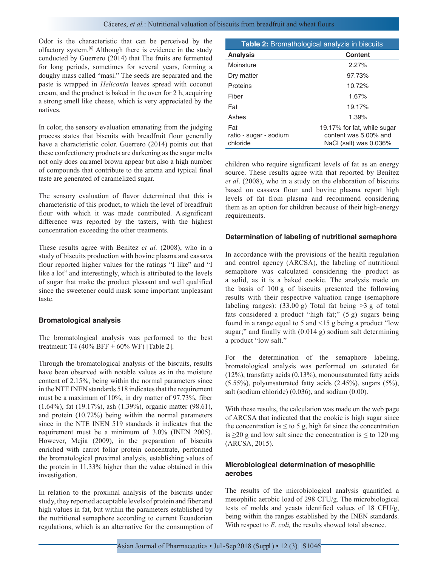Odor is the characteristic that can be perceived by the olfactory system.[6] Although there is evidence in the study conducted by Guerrero (2014) that The fruits are fermented for long periods, sometimes for several years, forming a doughy mass called "masi." The seeds are separated and the paste is wrapped in *Heliconia* leaves spread with coconut cream, and the product is baked in the oven for 2 h, acquiring a strong smell like cheese, which is very appreciated by the natives.

In color, the sensory evaluation emanating from the judging process states that biscuits with breadfruit flour generally have a characteristic color. Guerrero (2014) points out that these confectionery products are darkening as the sugar melts not only does caramel brown appear but also a high number of compounds that contribute to the aroma and typical final taste are generated of caramelized sugar.

The sensory evaluation of flavor determined that this is characteristic of this product, to which the level of breadfruit flour with which it was made contributed. A significant difference was reported by the tasters, with the highest concentration exceeding the other treatments.

These results agree with Benítez *et al.* (2008), who in a study of biscuits production with bovine plasma and cassava flour reported higher values for the ratings "I like" and "I like a lot" and interestingly, which is attributed to the levels of sugar that make the product pleasant and well qualified since the sweetener could mask some important unpleasant taste.

# **Bromatological analysis**

The bromatological analysis was performed to the best treatment: T4 (40% BFF + 60% WF) [Table 2].

Through the bromatological analysis of the biscuits, results have been observed with notable values as in the moisture content of 2.15%, being within the normal parameters since in the NTE INEN standards 518 indicates that the requirement must be a maximum of 10%; in dry matter of 97.73%, fiber (1.64%), fat (19.17%), ash (1.39%), organic matter (98.61), and protein (10.72%) being within the normal parameters since in the NTE INEN 519 standards it indicates that the requirement must be a minimum of 3.0% (INEN 2005). However, Mejía (2009), in the preparation of biscuits enriched with carrot foliar protein concentrate, performed the bromatological proximal analysis, establishing values of the protein in 11.33% higher than the value obtained in this investigation.

In relation to the proximal analysis of the biscuits under study, they reported acceptable levels of protein and fiber and high values in fat, but within the parameters established by the nutritional semaphore according to current Ecuadorian regulations, which is an alternative for the consumption of

| <b>Table 2:</b> Bromathological analyzis in biscuits |                                                                                |  |
|------------------------------------------------------|--------------------------------------------------------------------------------|--|
| <b>Analysis</b>                                      | Content                                                                        |  |
| Moinsture                                            | 2.27%                                                                          |  |
| Dry matter                                           | 97.73%                                                                         |  |
| <b>Proteins</b>                                      | 10.72%                                                                         |  |
| Fiber                                                | 1.67%                                                                          |  |
| Fat                                                  | 19.17%                                                                         |  |
| Ashes                                                | 1.39%                                                                          |  |
| Fat<br>ratio - sugar - sodium<br>chloride            | 19.17% for fat, while sugar<br>content was 5.00% and<br>NaCl (salt) was 0.036% |  |

children who require significant levels of fat as an energy source. These results agree with that reported by Benítez *et al*. (2008), who in a study on the elaboration of biscuits based on cassava flour and bovine plasma report high levels of fat from plasma and recommend considering them as an option for children because of their high-energy requirements.

#### **Determination of labeling of nutritional semaphore**

In accordance with the provisions of the health regulation and control agency (ARCSA), the labeling of nutritional semaphore was calculated considering the product as a solid, as it is a baked cookie. The analysis made on the basis of 100 g of biscuits presented the following results with their respective valuation range (semaphore labeling ranges):  $(33.00 \text{ g})$  Total fat being  $>3 \text{ g}$  of total fats considered a product "high fat;" (5 g) sugars being found in a range equal to 5 and <15 g being a product "low sugar;" and finally with (0.014 g) sodium salt determining a product "low salt."

For the determination of the semaphore labeling, bromatological analysis was performed on saturated fat (12%), transfatty acids (0.13%), monounsaturated fatty acids  $(5.55\%)$ , polyunsaturated fatty acids  $(2.45\%)$ , sugars  $(5\%)$ , salt (sodium chloride) (0.036), and sodium (0.00).

With these results, the calculation was made on the web page of ARCSA that indicated that the cookie is high sugar since the concentration is  $\leq$  to 5 g, high fat since the concentration is ≥20 g and low salt since the concentration is  $≤$  to 120 mg (ARCSA, 2015).

# **Microbiological determination of mesophilic aerobes**

The results of the microbiological analysis quantified a mesophilic aerobic load of 298 CFU/g. The microbiological tests of molds and yeasts identified values of 18 CFU/g, being within the ranges established by the INEN standards. With respect to *E. coli,* the results showed total absence.